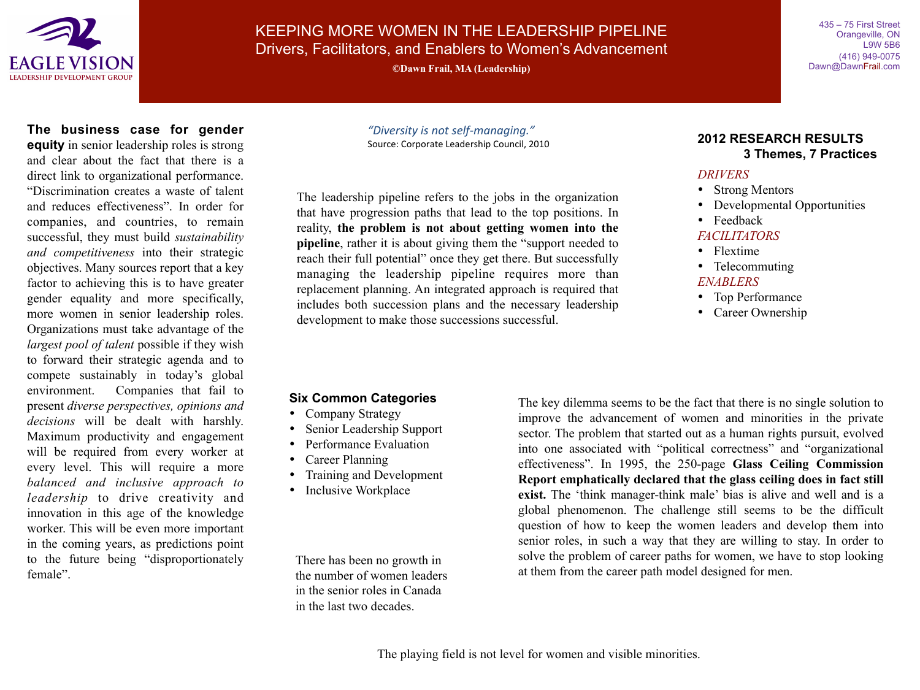

KEEPING MORE WOMEN IN THE LEADERSHIP PIPELINE Drivers, Facilitators, and Enablers to Women's Advancement

**©Dawn Frail, MA (Leadership)**

435 – 75 First Street Orangeville, ON L9W 5B6 (416) 949-0075 Dawn@DawnFrail.com

**The business case for gender equity** in senior leadership roles is strong and clear about the fact that there is a direct link to organizational performance. "Discrimination creates a waste of talent and reduces effectiveness". In order for companies, and countries, to remain successful, they must build *sustainability and competitiveness* into their strategic objectives. Many sources report that a key factor to achieving this is to have greater gender equality and more specifically, more women in senior leadership roles. Organizations must take advantage of the *largest pool of talent* possible if they wish to forward their strategic agenda and to compete sustainably in today's global environment. Companies that fail to present *diverse perspectives, opinions and decisions* will be dealt with harshly. Maximum productivity and engagement will be required from every worker at every level. This will require a more *balanced and inclusive approach to leadership* to drive creativity and innovation in this age of the knowledge worker. This will be even more important in the coming years, as predictions point to the future being "disproportionately female".

*"Diversity is not self-managing."* Source: Corporate Leadership Council, 2010

The leadership pipeline refers to the jobs in the organization that have progression paths that lead to the top positions. In reality, **the problem is not about getting women into the pipeline**, rather it is about giving them the "support needed to reach their full potential" once they get there. But successfully managing the leadership pipeline requires more than replacement planning. An integrated approach is required that includes both succession plans and the necessary leadership development to make those successions successful.

### **2012 RESEARCH RESULTS 3 Themes, 7 Practices**

### *DRIVERS*

- Strong Mentors
- Developmental Opportunities
- Feedback

### *FACILITATORS*

- Flextime
- Telecommuting

### *ENABLERS*

- Top Performance
- Career Ownership

## **Six Common Categories**

- Company Strategy
- Senior Leadership Support
- Performance Evaluation
- Career Planning
- Training and Development
- Inclusive Workplace

There has been no growth in the number of women leaders in the senior roles in Canada in the last two decades.

The key dilemma seems to be the fact that there is no single solution to improve the advancement of women and minorities in the private sector. The problem that started out as a human rights pursuit, evolved into one associated with "political correctness" and "organizational effectiveness". In 1995, the 250-page **Glass Ceiling Commission Report emphatically declared that the glass ceiling does in fact still exist.** The 'think manager-think male' bias is alive and well and is a global phenomenon. The challenge still seems to be the difficult question of how to keep the women leaders and develop them into senior roles, in such a way that they are willing to stay. In order to solve the problem of career paths for women, we have to stop looking at them from the career path model designed for men.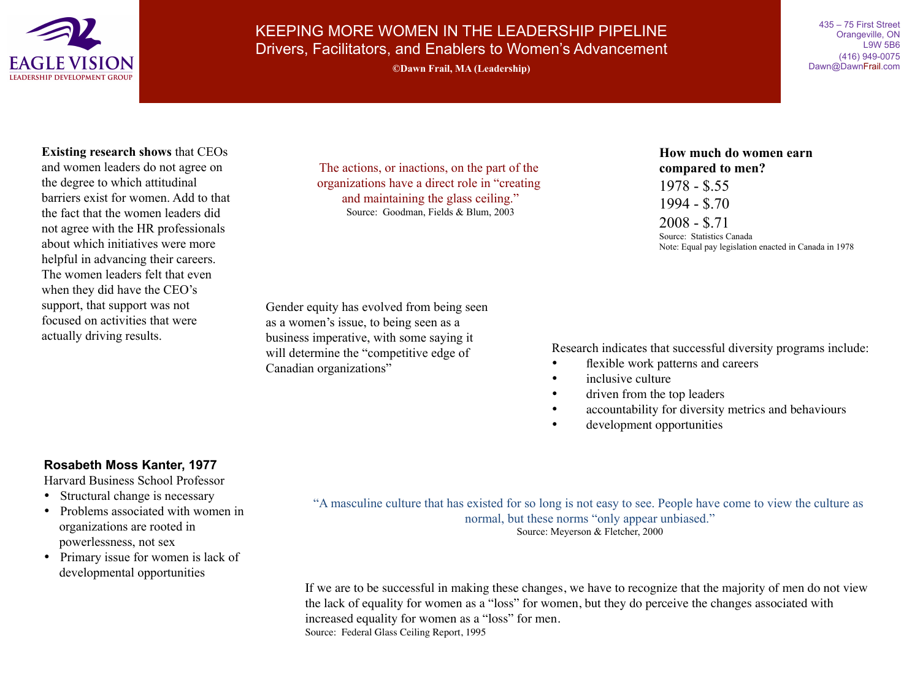

# KEEPING MORE WOMEN IN THE LEADERSHIP PIPELINE Drivers, Facilitators, and Enablers to Women's Advancement **©Dawn Frail, MA (Leadership)**

435 – 75 First Street Orangeville, ON L9W 5B6 (416) 949-0075 Dawn@DawnFrail.com

### **Existing research shows** that CEOs

and women leaders do not agree on the degree to which attitudinal barriers exist for women. Add to that the fact that the women leaders did not agree with the HR professionals about which initiatives were more helpful in advancing their careers. The women leaders felt that even when they did have the CEO's support, that support was not focused on activities that were actually driving results.

The actions, or inactions, on the part of the organizations have a direct role in "creating and maintaining the glass ceiling." Source: Goodman, Fields & Blum, 2003

Gender equity has evolved from being seen as a women's issue, to being seen as a business imperative, with some saying it will determine the "competitive edge of Canadian organizations"

**How much do women earn compared to men?** 1978 - \$.55 1994 - \$.70 2008 - \$.71 Source: Statistics Canada Note: Equal pay legislation enacted in Canada in 1978

Research indicates that successful diversity programs include:

- flexible work patterns and careers
- inclusive culture
- driven from the top leaders
- accountability for diversity metrics and behaviours
- development opportunities

### **Rosabeth Moss Kanter, 1977**

Harvard Business School Professor

- Structural change is necessary
- Problems associated with women in organizations are rooted in powerlessness, not sex
- Primary issue for women is lack of developmental opportunities

"A masculine culture that has existed for so long is not easy to see. People have come to view the culture as normal, but these norms "only appear unbiased." Source: Meyerson & Fletcher, 2000

If we are to be successful in making these changes, we have to recognize that the majority of men do not view the lack of equality for women as a "loss" for women, but they do perceive the changes associated with increased equality for women as a "loss" for men. Source: Federal Glass Ceiling Report, 1995